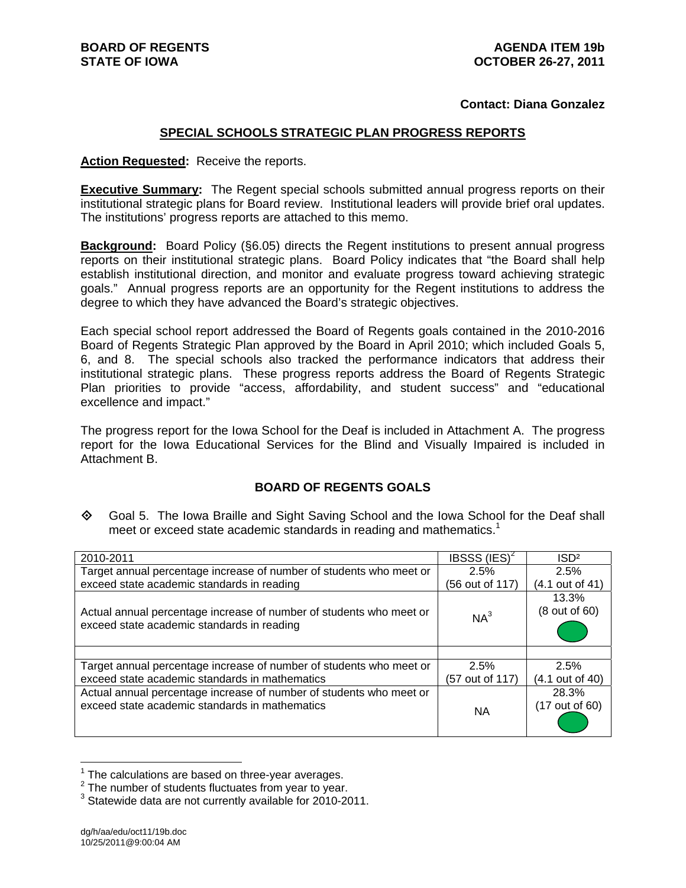#### **Contact: Diana Gonzalez**

#### **SPECIAL SCHOOLS STRATEGIC PLAN PROGRESS REPORTS**

**Action Requested:** Receive the reports.

**Executive Summary:** The Regent special schools submitted annual progress reports on their institutional strategic plans for Board review. Institutional leaders will provide brief oral updates. The institutions' progress reports are attached to this memo.

**Background:** Board Policy (§6.05) directs the Regent institutions to present annual progress reports on their institutional strategic plans. Board Policy indicates that "the Board shall help establish institutional direction, and monitor and evaluate progress toward achieving strategic goals." Annual progress reports are an opportunity for the Regent institutions to address the degree to which they have advanced the Board's strategic objectives.

Each special school report addressed the Board of Regents goals contained in the 2010-2016 Board of Regents Strategic Plan approved by the Board in April 2010; which included Goals 5, 6, and 8. The special schools also tracked the performance indicators that address their institutional strategic plans. These progress reports address the Board of Regents Strategic Plan priorities to provide "access, affordability, and student success" and "educational excellence and impact."

The progress report for the Iowa School for the Deaf is included in Attachment A. The progress report for the Iowa Educational Services for the Blind and Visually Impaired is included in Attachment B.

## **BOARD OF REGENTS GOALS**

◆ Goal 5. The Iowa Braille and Sight Saving School and the Iowa School for the Deaf shall meet or exceed state academic standards in reading and mathematics.<sup>1</sup>

| 2010-2011                                                                                                         | IBSSS $(IES)^2$ | ISD <sup>2</sup>       |
|-------------------------------------------------------------------------------------------------------------------|-----------------|------------------------|
| Target annual percentage increase of number of students who meet or                                               | 2.5%            | 2.5%                   |
| exceed state academic standards in reading                                                                        | (56 out of 117) | (4.1 out of 41)        |
| Actual annual percentage increase of number of students who meet or<br>exceed state academic standards in reading | $NA^3$          | 13.3%<br>(8 out of 60) |
|                                                                                                                   |                 |                        |
| Target annual percentage increase of number of students who meet or                                               | 2.5%            | 2.5%                   |
| exceed state academic standards in mathematics                                                                    | (57 out of 117) | (4.1 out of 40)        |
| Actual annual percentage increase of number of students who meet or                                               |                 | 28.3%                  |
| exceed state academic standards in mathematics                                                                    | <b>NA</b>       | (17 out of 60)         |

 $1$  The calculations are based on three-year averages.

 $\overline{a}$ 

 $2$  The number of students fluctuates from year to year.

<sup>&</sup>lt;sup>3</sup> Statewide data are not currently available for 2010-2011.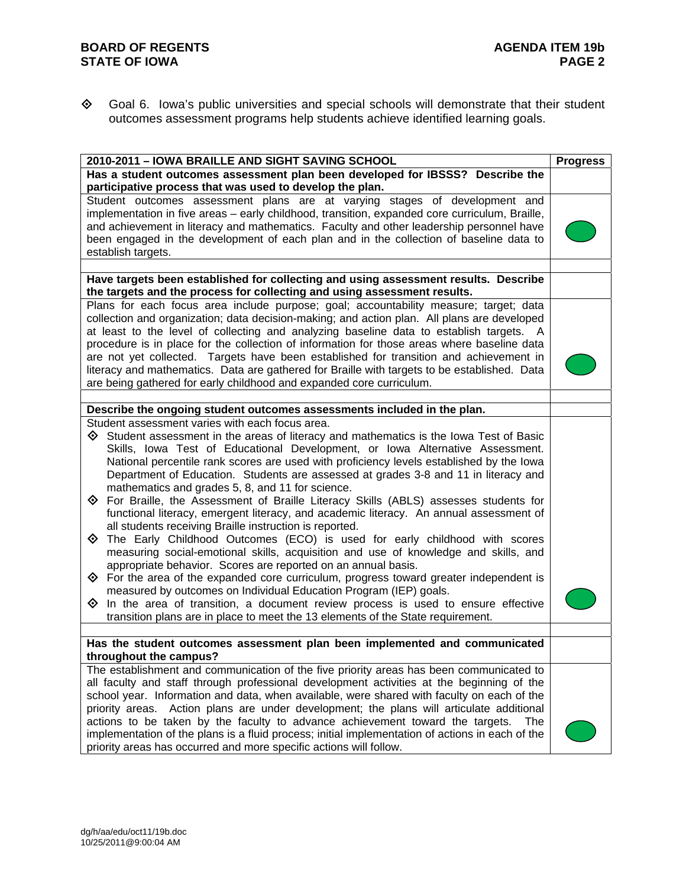## **BOARD OF REGENTS**<br>STATE OF IOWA **AGENDA ITEM 19b STATE OF IOWA**

 Goal 6. Iowa's public universities and special schools will demonstrate that their student outcomes assessment programs help students achieve identified learning goals.

| 2010-2011 - IOWA BRAILLE AND SIGHT SAVING SCHOOL                                                     | <b>Progress</b> |
|------------------------------------------------------------------------------------------------------|-----------------|
| Has a student outcomes assessment plan been developed for IBSSS? Describe the                        |                 |
| participative process that was used to develop the plan.                                             |                 |
| Student outcomes assessment plans are at varying stages of development and                           |                 |
| implementation in five areas - early childhood, transition, expanded core curriculum, Braille,       |                 |
| and achievement in literacy and mathematics. Faculty and other leadership personnel have             |                 |
| been engaged in the development of each plan and in the collection of baseline data to               |                 |
| establish targets.                                                                                   |                 |
|                                                                                                      |                 |
| Have targets been established for collecting and using assessment results. Describe                  |                 |
| the targets and the process for collecting and using assessment results.                             |                 |
| Plans for each focus area include purpose; goal; accountability measure; target; data                |                 |
| collection and organization; data decision-making; and action plan. All plans are developed          |                 |
|                                                                                                      |                 |
| at least to the level of collecting and analyzing baseline data to establish targets. A              |                 |
| procedure is in place for the collection of information for those areas where baseline data          |                 |
| are not yet collected. Targets have been established for transition and achievement in               |                 |
| literacy and mathematics. Data are gathered for Braille with targets to be established. Data         |                 |
| are being gathered for early childhood and expanded core curriculum.                                 |                 |
|                                                                                                      |                 |
| Describe the ongoing student outcomes assessments included in the plan.                              |                 |
| Student assessment varies with each focus area.                                                      |                 |
| $\diamondsuit$ Student assessment in the areas of literacy and mathematics is the lowa Test of Basic |                 |
| Skills, Iowa Test of Educational Development, or Iowa Alternative Assessment.                        |                 |
| National percentile rank scores are used with proficiency levels established by the lowa             |                 |
| Department of Education. Students are assessed at grades 3-8 and 11 in literacy and                  |                 |
| mathematics and grades 5, 8, and 11 for science.                                                     |                 |
| $\diamondsuit$ For Braille, the Assessment of Braille Literacy Skills (ABLS) assesses students for   |                 |
| functional literacy, emergent literacy, and academic literacy. An annual assessment of               |                 |
| all students receiving Braille instruction is reported.                                              |                 |
| $\diamondsuit$ The Early Childhood Outcomes (ECO) is used for early childhood with scores            |                 |
|                                                                                                      |                 |
| measuring social-emotional skills, acquisition and use of knowledge and skills, and                  |                 |
| appropriate behavior. Scores are reported on an annual basis.                                        |                 |
| $\diamondsuit$ For the area of the expanded core curriculum, progress toward greater independent is  |                 |
| measured by outcomes on Individual Education Program (IEP) goals.                                    |                 |
| In the area of transition, a document review process is used to ensure effective<br>◈                |                 |
| transition plans are in place to meet the 13 elements of the State requirement.                      |                 |
|                                                                                                      |                 |
| Has the student outcomes assessment plan been implemented and communicated                           |                 |
| throughout the campus?                                                                               |                 |
| The establishment and communication of the five priority areas has been communicated to              |                 |
| all faculty and staff through professional development activities at the beginning of the            |                 |
| school year. Information and data, when available, were shared with faculty on each of the           |                 |
| priority areas. Action plans are under development; the plans will articulate additional             |                 |
| actions to be taken by the faculty to advance achievement toward the targets.<br>The .               |                 |
| implementation of the plans is a fluid process; initial implementation of actions in each of the     |                 |
| priority areas has occurred and more specific actions will follow.                                   |                 |
|                                                                                                      |                 |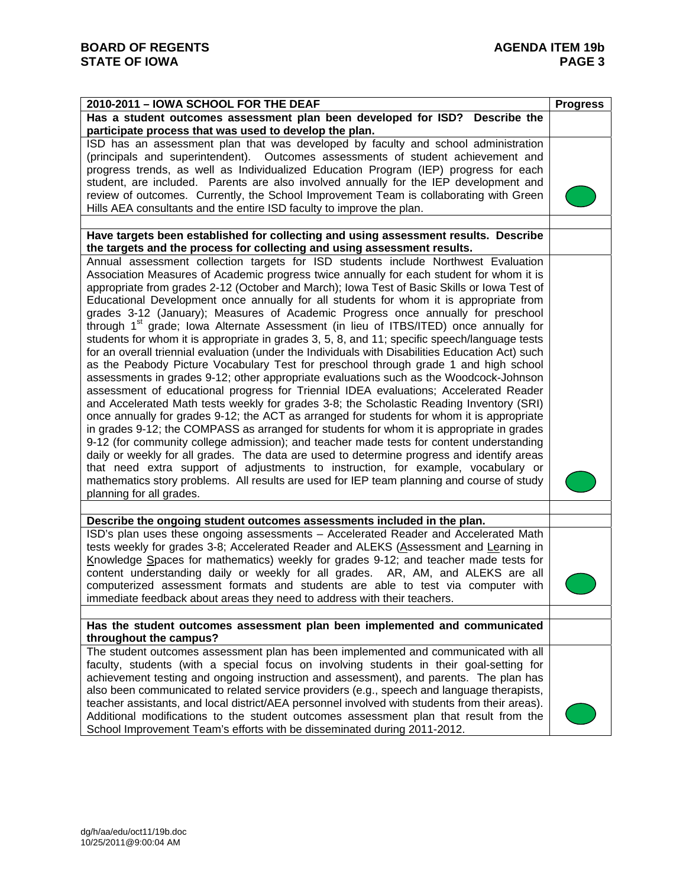| 2010-2011 - IOWA SCHOOL FOR THE DEAF                                                                 | <b>Progress</b> |
|------------------------------------------------------------------------------------------------------|-----------------|
| Has a student outcomes assessment plan been developed for ISD? Describe the                          |                 |
| participate process that was used to develop the plan.                                               |                 |
| ISD has an assessment plan that was developed by faculty and school administration                   |                 |
| (principals and superintendent). Outcomes assessments of student achievement and                     |                 |
| progress trends, as well as Individualized Education Program (IEP) progress for each                 |                 |
| student, are included. Parents are also involved annually for the IEP development and                |                 |
| review of outcomes. Currently, the School Improvement Team is collaborating with Green               |                 |
| Hills AEA consultants and the entire ISD faculty to improve the plan.                                |                 |
| Have targets been established for collecting and using assessment results. Describe                  |                 |
| the targets and the process for collecting and using assessment results.                             |                 |
| Annual assessment collection targets for ISD students include Northwest Evaluation                   |                 |
| Association Measures of Academic progress twice annually for each student for whom it is             |                 |
| appropriate from grades 2-12 (October and March); lowa Test of Basic Skills or lowa Test of          |                 |
| Educational Development once annually for all students for whom it is appropriate from               |                 |
| grades 3-12 (January); Measures of Academic Progress once annually for preschool                     |                 |
| through 1 <sup>st</sup> grade; lowa Alternate Assessment (in lieu of ITBS/ITED) once annually for    |                 |
|                                                                                                      |                 |
| students for whom it is appropriate in grades 3, 5, 8, and 11; specific speech/language tests        |                 |
| for an overall triennial evaluation (under the Individuals with Disabilities Education Act) such     |                 |
| as the Peabody Picture Vocabulary Test for preschool through grade 1 and high school                 |                 |
| assessments in grades 9-12; other appropriate evaluations such as the Woodcock-Johnson               |                 |
| assessment of educational progress for Triennial IDEA evaluations; Accelerated Reader                |                 |
| and Accelerated Math tests weekly for grades 3-8; the Scholastic Reading Inventory (SRI)             |                 |
| once annually for grades 9-12; the ACT as arranged for students for whom it is appropriate           |                 |
| in grades 9-12; the COMPASS as arranged for students for whom it is appropriate in grades            |                 |
| 9-12 (for community college admission); and teacher made tests for content understanding             |                 |
| daily or weekly for all grades. The data are used to determine progress and identify areas           |                 |
| that need extra support of adjustments to instruction, for example, vocabulary or                    |                 |
| mathematics story problems. All results are used for IEP team planning and course of study           |                 |
| planning for all grades.                                                                             |                 |
|                                                                                                      |                 |
| Describe the ongoing student outcomes assessments included in the plan.                              |                 |
| ISD's plan uses these ongoing assessments - Accelerated Reader and Accelerated Math                  |                 |
| tests weekly for grades 3-8; Accelerated Reader and ALEKS (Assessment and Learning in                |                 |
| Knowledge Spaces for mathematics) weekly for grades 9-12; and teacher made tests for                 |                 |
| content understanding daily or weekly for all grades. AR, AM, and ALEKS are all                      |                 |
| computerized assessment formats and students are able to test via computer with                      |                 |
| immediate feedback about areas they need to address with their teachers.                             |                 |
|                                                                                                      |                 |
| Has the student outcomes assessment plan been implemented and communicated<br>throughout the campus? |                 |
| The student outcomes assessment plan has been implemented and communicated with all                  |                 |
| faculty, students (with a special focus on involving students in their goal-setting for              |                 |
|                                                                                                      |                 |
| achievement testing and ongoing instruction and assessment), and parents. The plan has               |                 |
| also been communicated to related service providers (e.g., speech and language therapists,           |                 |
| teacher assistants, and local district/AEA personnel involved with students from their areas).       |                 |
| Additional modifications to the student outcomes assessment plan that result from the                |                 |
| School Improvement Team's efforts with be disseminated during 2011-2012.                             |                 |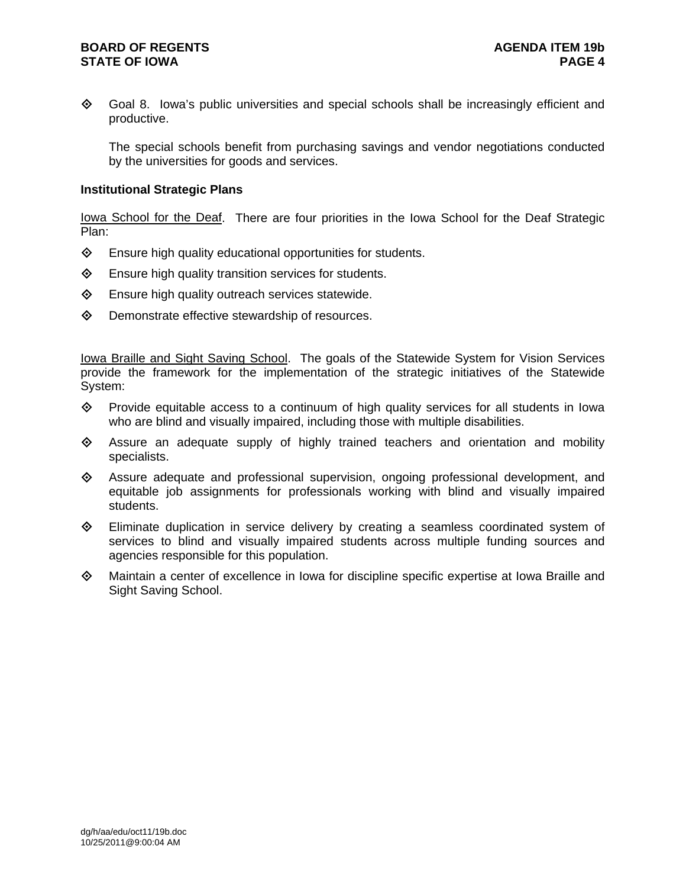#### **BOARD OF REGENTS AGENUS AGENDA ITEM 19b STATE OF IOWA** PAGE 4

◆ Goal 8. Iowa's public universities and special schools shall be increasingly efficient and productive.

The special schools benefit from purchasing savings and vendor negotiations conducted by the universities for goods and services.

#### **Institutional Strategic Plans**

Iowa School for the Deaf. There are four priorities in the Iowa School for the Deaf Strategic Plan:

- $\diamond$  Ensure high quality educational opportunities for students.
- $\diamond$  Ensure high quality transition services for students.
- $\diamond$  Ensure high quality outreach services statewide.
- $\diamond$  Demonstrate effective stewardship of resources.

Iowa Braille and Sight Saving School. The goals of the Statewide System for Vision Services provide the framework for the implementation of the strategic initiatives of the Statewide System:

- $\diamond$  Provide equitable access to a continuum of high quality services for all students in Iowa who are blind and visually impaired, including those with multiple disabilities.
- Assure an adequate supply of highly trained teachers and orientation and mobility specialists.
- $\diamond$  Assure adequate and professional supervision, ongoing professional development, and equitable job assignments for professionals working with blind and visually impaired students.
- $\Diamond$  Eliminate duplication in service delivery by creating a seamless coordinated system of services to blind and visually impaired students across multiple funding sources and agencies responsible for this population.
- $\Diamond$  Maintain a center of excellence in Iowa for discipline specific expertise at Iowa Braille and Sight Saving School.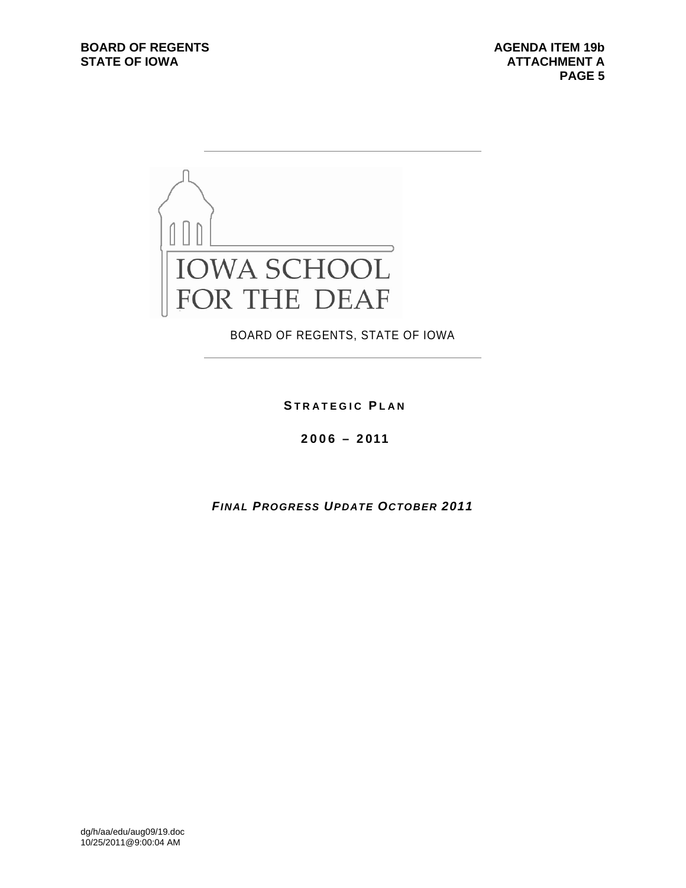STATE OF IOWA **ATTACHMENT A**<br>PAGE 5  **PAGE 5** 



BOARD OF REGENTS, STATE OF IOWA

**S TRATEGIC P LAN**

**2006 – 2011** 

*FINAL PROGRESS UPDATE OCTOBER 2011*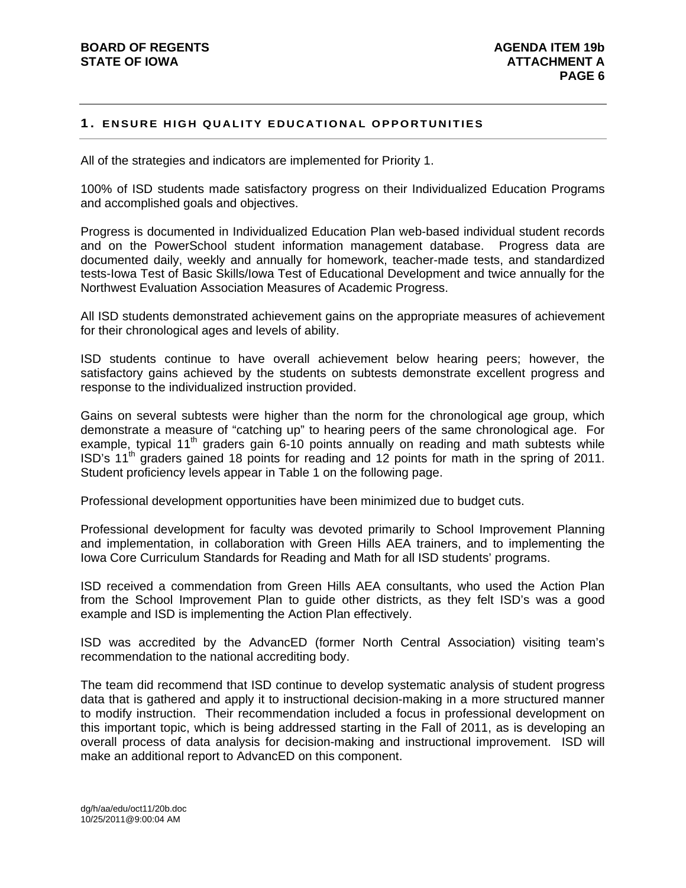#### **1. ENSURE HIGH QUALITY EDUCATIONAL OPPORTUNITIES**

All of the strategies and indicators are implemented for Priority 1.

100% of ISD students made satisfactory progress on their Individualized Education Programs and accomplished goals and objectives.

Progress is documented in Individualized Education Plan web-based individual student records and on the PowerSchool student information management database. Progress data are documented daily, weekly and annually for homework, teacher-made tests, and standardized tests-Iowa Test of Basic Skills/Iowa Test of Educational Development and twice annually for the Northwest Evaluation Association Measures of Academic Progress.

All ISD students demonstrated achievement gains on the appropriate measures of achievement for their chronological ages and levels of ability.

ISD students continue to have overall achievement below hearing peers; however, the satisfactory gains achieved by the students on subtests demonstrate excellent progress and response to the individualized instruction provided.

Gains on several subtests were higher than the norm for the chronological age group, which demonstrate a measure of "catching up" to hearing peers of the same chronological age. For example, typical  $11<sup>th</sup>$  graders gain 6-10 points annually on reading and math subtests while  $\text{ISD's } 11^{\text{th}}$  graders gained 18 points for reading and 12 points for math in the spring of 2011. Student proficiency levels appear in Table 1 on the following page.

Professional development opportunities have been minimized due to budget cuts.

Professional development for faculty was devoted primarily to School Improvement Planning and implementation, in collaboration with Green Hills AEA trainers, and to implementing the Iowa Core Curriculum Standards for Reading and Math for all ISD students' programs.

ISD received a commendation from Green Hills AEA consultants, who used the Action Plan from the School Improvement Plan to guide other districts, as they felt ISD's was a good example and ISD is implementing the Action Plan effectively.

ISD was accredited by the AdvancED (former North Central Association) visiting team's recommendation to the national accrediting body.

The team did recommend that ISD continue to develop systematic analysis of student progress data that is gathered and apply it to instructional decision-making in a more structured manner to modify instruction. Their recommendation included a focus in professional development on this important topic, which is being addressed starting in the Fall of 2011, as is developing an overall process of data analysis for decision-making and instructional improvement. ISD will make an additional report to AdvancED on this component.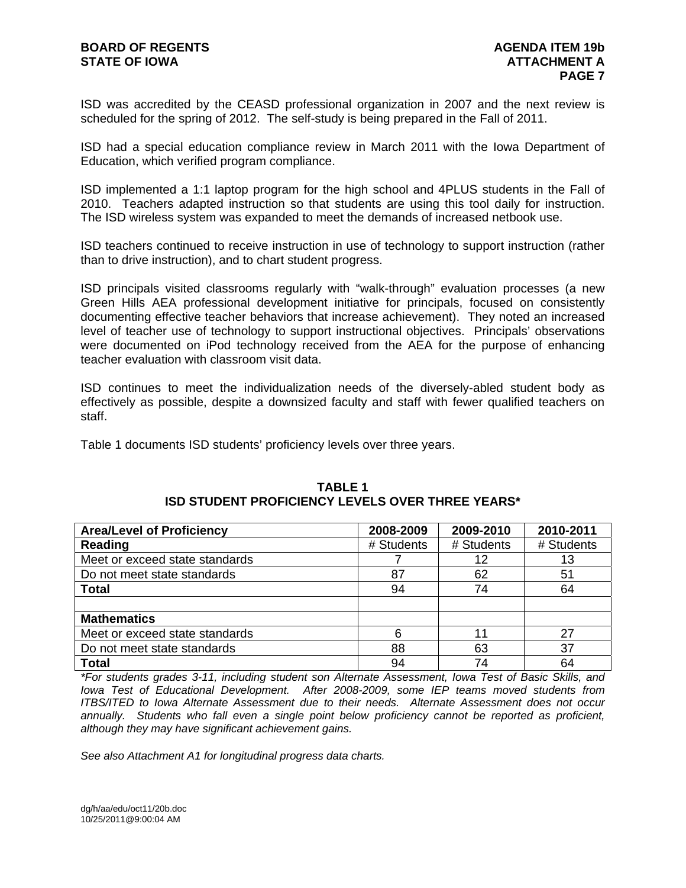ISD was accredited by the CEASD professional organization in 2007 and the next review is scheduled for the spring of 2012. The self-study is being prepared in the Fall of 2011.

ISD had a special education compliance review in March 2011 with the Iowa Department of Education, which verified program compliance.

ISD implemented a 1:1 laptop program for the high school and 4PLUS students in the Fall of 2010. Teachers adapted instruction so that students are using this tool daily for instruction. The ISD wireless system was expanded to meet the demands of increased netbook use.

ISD teachers continued to receive instruction in use of technology to support instruction (rather than to drive instruction), and to chart student progress.

ISD principals visited classrooms regularly with "walk-through" evaluation processes (a new Green Hills AEA professional development initiative for principals, focused on consistently documenting effective teacher behaviors that increase achievement). They noted an increased level of teacher use of technology to support instructional objectives. Principals' observations were documented on iPod technology received from the AEA for the purpose of enhancing teacher evaluation with classroom visit data.

ISD continues to meet the individualization needs of the diversely-abled student body as effectively as possible, despite a downsized faculty and staff with fewer qualified teachers on staff.

Table 1 documents ISD students' proficiency levels over three years.

| <b>Area/Level of Proficiency</b> | 2008-2009  | 2009-2010  | 2010-2011  |
|----------------------------------|------------|------------|------------|
| Reading                          | # Students | # Students | # Students |
| Meet or exceed state standards   |            | 12         | 13         |
| Do not meet state standards      | 87         | 62         | 51         |
| <b>Total</b>                     | 94         | 74         | 64         |
|                                  |            |            |            |
| <b>Mathematics</b>               |            |            |            |
| Meet or exceed state standards   | 6          | 11         | 27         |
| Do not meet state standards      | 88         | 63         | 37         |
| <b>Total</b>                     | 94         | 74         | 64         |

#### **TABLE 1 ISD STUDENT PROFICIENCY LEVELS OVER THREE YEARS\***

*\*For students grades 3-11, including student son Alternate Assessment, Iowa Test of Basic Skills, and Iowa Test of Educational Development. After 2008-2009, some IEP teams moved students from ITBS/ITED to Iowa Alternate Assessment due to their needs. Alternate Assessment does not occur annually. Students who fall even a single point below proficiency cannot be reported as proficient, although they may have significant achievement gains.* 

*See also Attachment A1 for longitudinal progress data charts.*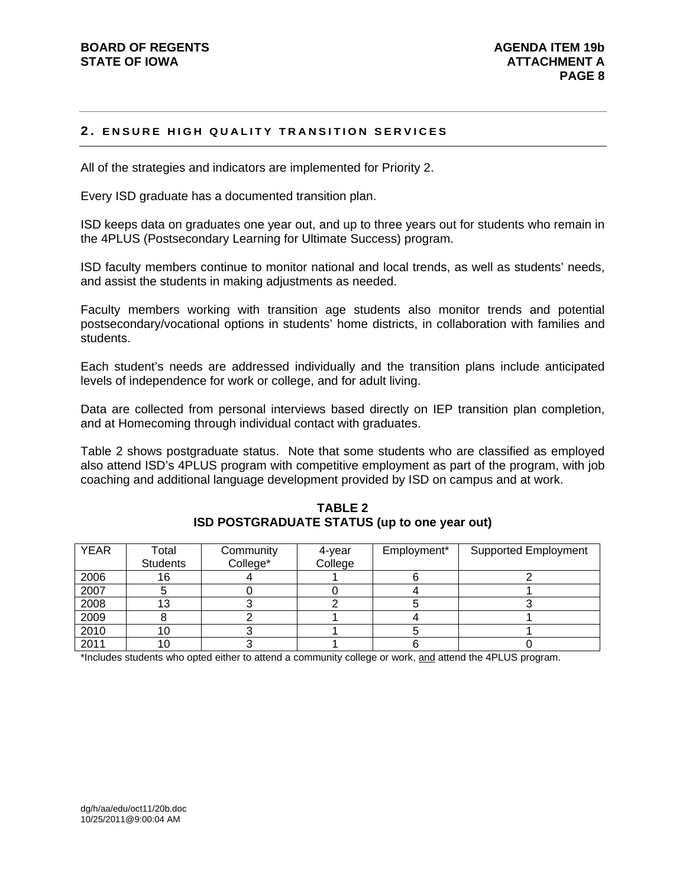#### **2. ENSURE HIGH QUALITY TRANSITION SERVICES**

All of the strategies and indicators are implemented for Priority 2.

Every ISD graduate has a documented transition plan.

ISD keeps data on graduates one year out, and up to three years out for students who remain in the 4PLUS (Postsecondary Learning for Ultimate Success) program.

ISD faculty members continue to monitor national and local trends, as well as students' needs, and assist the students in making adjustments as needed.

Faculty members working with transition age students also monitor trends and potential postsecondary/vocational options in students' home districts, in collaboration with families and students.

Each student's needs are addressed individually and the transition plans include anticipated levels of independence for work or college, and for adult living.

Data are collected from personal interviews based directly on IEP transition plan completion, and at Homecoming through individual contact with graduates.

Table 2 shows postgraduate status. Note that some students who are classified as employed also attend ISD's 4PLUS program with competitive employment as part of the program, with job coaching and additional language development provided by ISD on campus and at work.

| <b>YEAR</b> | Total           | Community | 4-year  | Employment* | <b>Supported Employment</b> |
|-------------|-----------------|-----------|---------|-------------|-----------------------------|
|             | <b>Students</b> | College*  | College |             |                             |
| 2006        | 16              |           |         |             |                             |
| 2007        |                 |           |         |             |                             |
| 2008        | 13              |           |         |             |                             |
| 2009        |                 |           |         |             |                             |
| 2010        | 10              |           |         |             |                             |
| 2011        | 10              |           |         |             |                             |

**TABLE 2 ISD POSTGRADUATE STATUS (up to one year out)** 

\*Includes students who opted either to attend a community college or work, and attend the 4PLUS program.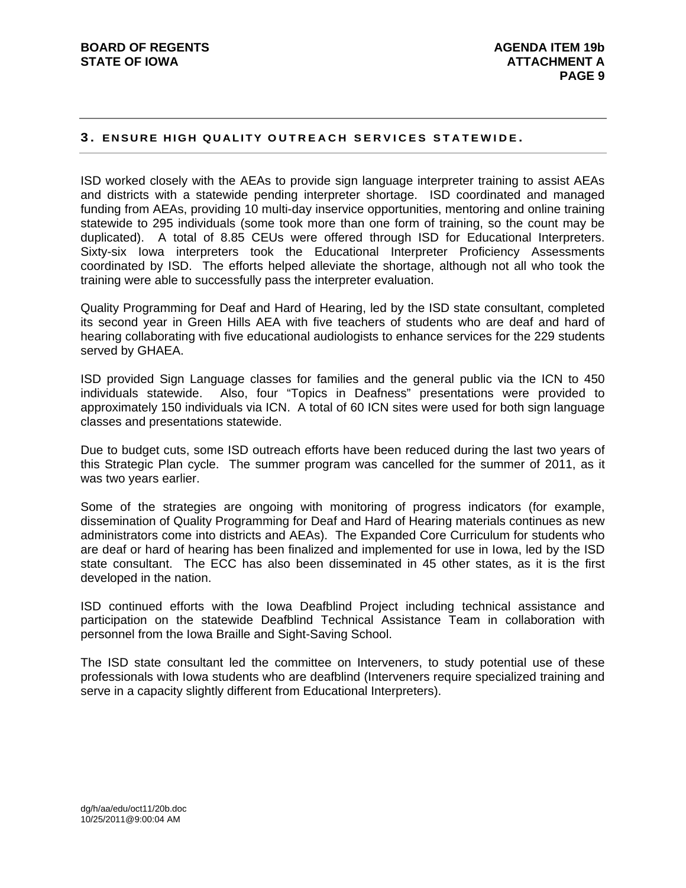#### **3. ENSURE HIGH QUALITY OUTREACH SERVICES STATEWIDE .**

ISD worked closely with the AEAs to provide sign language interpreter training to assist AEAs and districts with a statewide pending interpreter shortage. ISD coordinated and managed funding from AEAs, providing 10 multi-day inservice opportunities, mentoring and online training statewide to 295 individuals (some took more than one form of training, so the count may be duplicated). A total of 8.85 CEUs were offered through ISD for Educational Interpreters. Sixty-six Iowa interpreters took the Educational Interpreter Proficiency Assessments coordinated by ISD. The efforts helped alleviate the shortage, although not all who took the training were able to successfully pass the interpreter evaluation.

Quality Programming for Deaf and Hard of Hearing, led by the ISD state consultant, completed its second year in Green Hills AEA with five teachers of students who are deaf and hard of hearing collaborating with five educational audiologists to enhance services for the 229 students served by GHAEA.

ISD provided Sign Language classes for families and the general public via the ICN to 450 individuals statewide. Also, four "Topics in Deafness" presentations were provided to approximately 150 individuals via ICN. A total of 60 ICN sites were used for both sign language classes and presentations statewide.

Due to budget cuts, some ISD outreach efforts have been reduced during the last two years of this Strategic Plan cycle. The summer program was cancelled for the summer of 2011, as it was two years earlier.

Some of the strategies are ongoing with monitoring of progress indicators (for example, dissemination of Quality Programming for Deaf and Hard of Hearing materials continues as new administrators come into districts and AEAs). The Expanded Core Curriculum for students who are deaf or hard of hearing has been finalized and implemented for use in Iowa, led by the ISD state consultant. The ECC has also been disseminated in 45 other states, as it is the first developed in the nation.

ISD continued efforts with the Iowa Deafblind Project including technical assistance and participation on the statewide Deafblind Technical Assistance Team in collaboration with personnel from the Iowa Braille and Sight-Saving School.

The ISD state consultant led the committee on Interveners, to study potential use of these professionals with Iowa students who are deafblind (Interveners require specialized training and serve in a capacity slightly different from Educational Interpreters).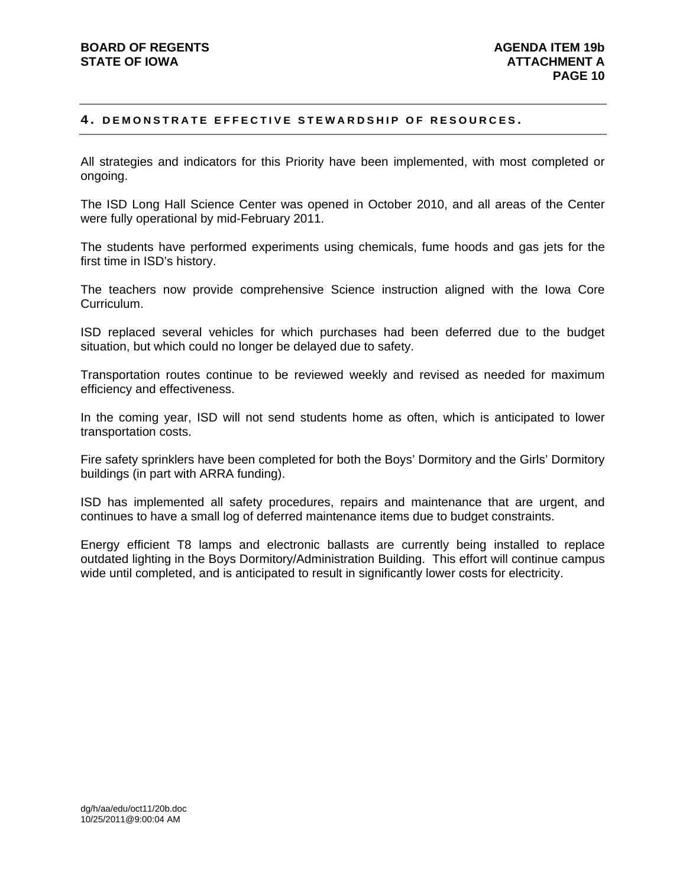#### **4. DEMONSTRATE EFFECTIVE STEWARDSHIP OF RESOURCES.**

All strategies and indicators for this Priority have been implemented, with most completed or ongoing.

The ISD Long Hall Science Center was opened in October 2010, and all areas of the Center were fully operational by mid-February 2011.

The students have performed experiments using chemicals, fume hoods and gas jets for the first time in ISD's history.

The teachers now provide comprehensive Science instruction aligned with the Iowa Core Curriculum.

ISD replaced several vehicles for which purchases had been deferred due to the budget situation, but which could no longer be delayed due to safety.

Transportation routes continue to be reviewed weekly and revised as needed for maximum efficiency and effectiveness.

In the coming year, ISD will not send students home as often, which is anticipated to lower transportation costs.

Fire safety sprinklers have been completed for both the Boys' Dormitory and the Girls' Dormitory buildings (in part with ARRA funding).

ISD has implemented all safety procedures, repairs and maintenance that are urgent, and continues to have a small log of deferred maintenance items due to budget constraints.

Energy efficient T8 lamps and electronic ballasts are currently being installed to replace outdated lighting in the Boys Dormitory/Administration Building. This effort will continue campus wide until completed, and is anticipated to result in significantly lower costs for electricity.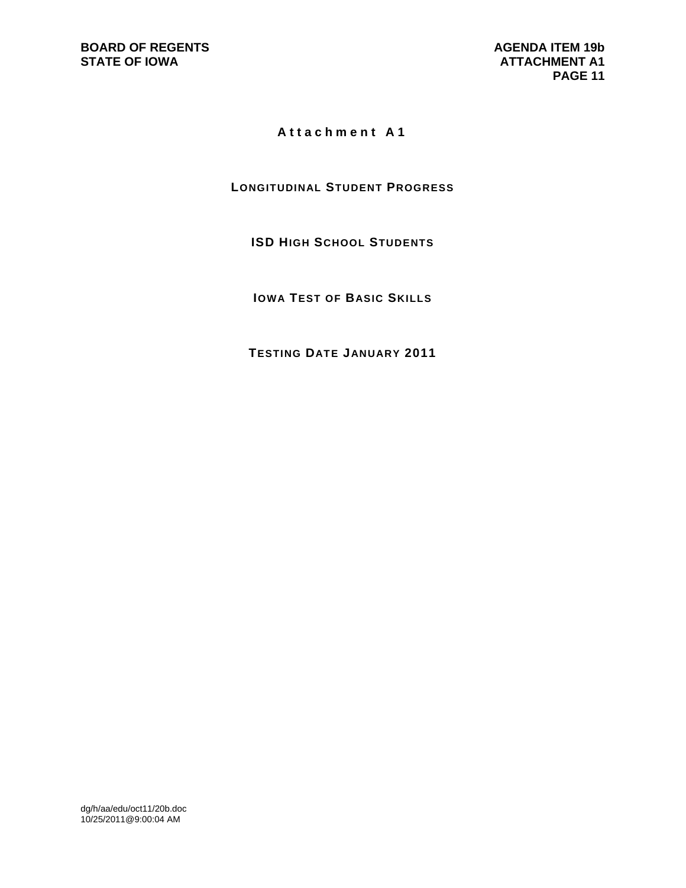## **Attachment A1**

## **LONGITUDINAL STUDENT PROGRESS**

## **ISD HIGH SCHOOL STUDENTS**

**IOWA TEST OF BASIC SKILLS**

**TESTING DATE JANUARY 2011**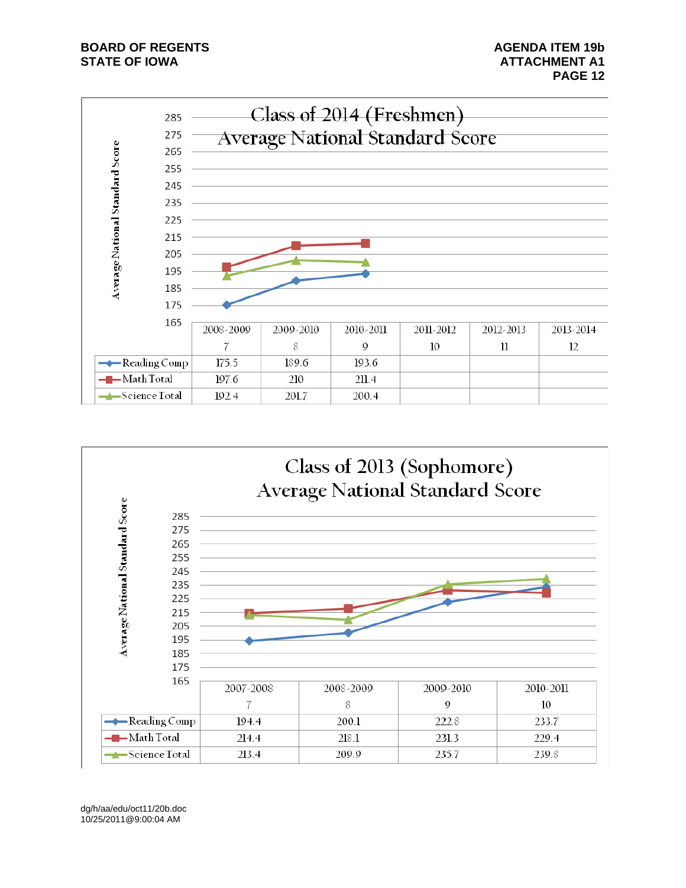## **BOARD OF REGENTS AGENDA ITEM 19b STATE OF IOWA** AND **ATTACHMENT A1**



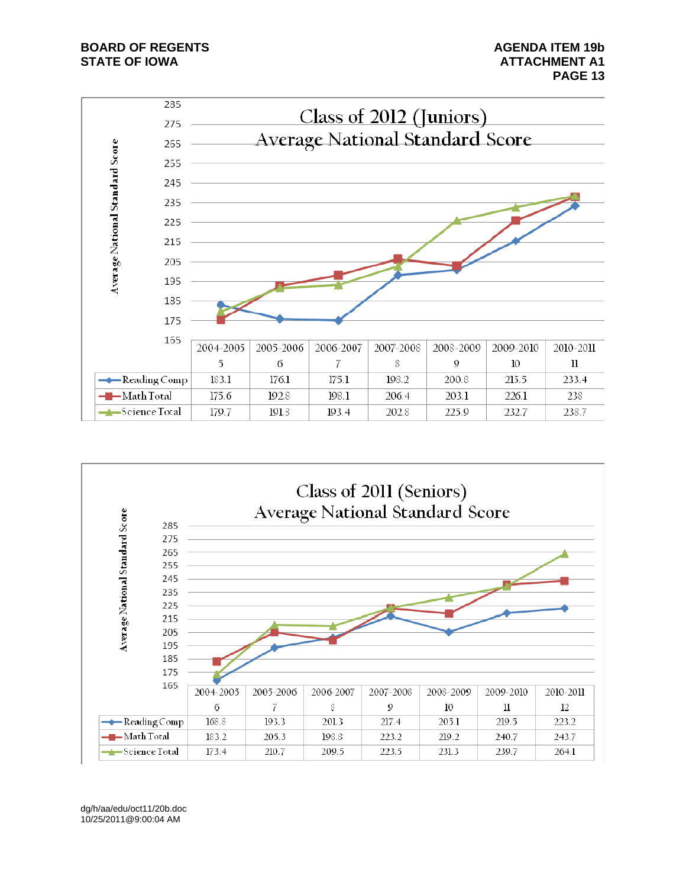## **BOARD OF REGENTS AGENDA ITEM 19b STATE OF IOWA** AND **ATTACHMENT A1**



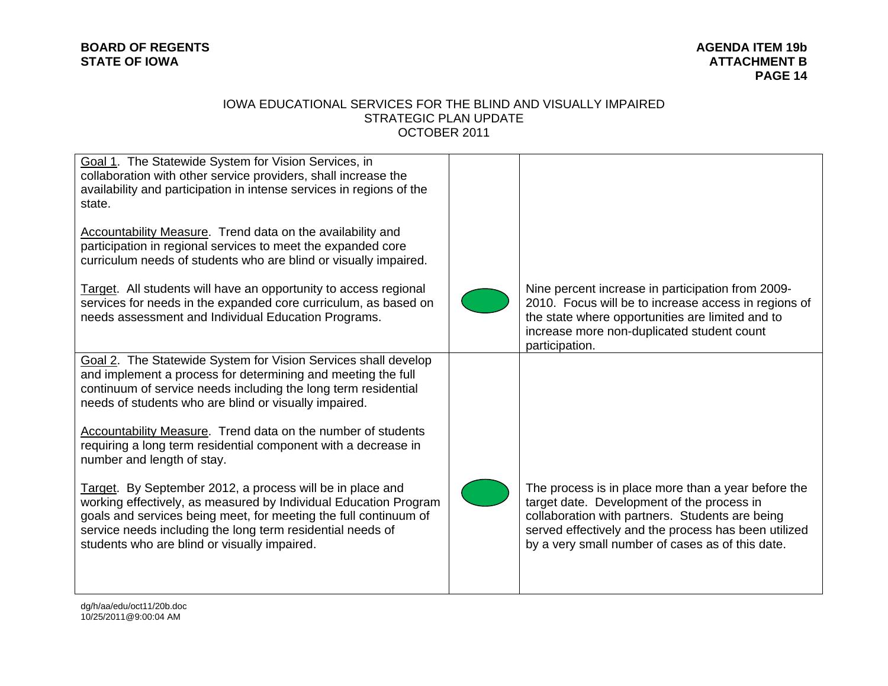## **BOARD OF REGENTS STATE OF IOWA ATTACHMENT B**

# **AGENDA ITEM 19b PAGE 14**

#### IOWA EDUCATIONAL SERVICES FOR THE BLIND AND VISUALLY IMPAIRED STRATEGIC PLAN UPDATE OCTOBER 2011

| Goal 1. The Statewide System for Vision Services, in<br>collaboration with other service providers, shall increase the<br>availability and participation in intense services in regions of the<br>state.<br>Accountability Measure. Trend data on the availability and<br>participation in regional services to meet the expanded core<br>curriculum needs of students who are blind or visually impaired.<br>Target. All students will have an opportunity to access regional<br>services for needs in the expanded core curriculum, as based on<br>needs assessment and Individual Education Programs.                                                                                                                                     | Nine percent increase in participation from 2009-<br>2010. Focus will be to increase access in regions of<br>the state where opportunities are limited and to<br>increase more non-duplicated student count<br>participation.                                    |
|----------------------------------------------------------------------------------------------------------------------------------------------------------------------------------------------------------------------------------------------------------------------------------------------------------------------------------------------------------------------------------------------------------------------------------------------------------------------------------------------------------------------------------------------------------------------------------------------------------------------------------------------------------------------------------------------------------------------------------------------|------------------------------------------------------------------------------------------------------------------------------------------------------------------------------------------------------------------------------------------------------------------|
| Goal 2. The Statewide System for Vision Services shall develop<br>and implement a process for determining and meeting the full<br>continuum of service needs including the long term residential<br>needs of students who are blind or visually impaired.<br>Accountability Measure. Trend data on the number of students<br>requiring a long term residential component with a decrease in<br>number and length of stay.<br>Target. By September 2012, a process will be in place and<br>working effectively, as measured by Individual Education Program<br>goals and services being meet, for meeting the full continuum of<br>service needs including the long term residential needs of<br>students who are blind or visually impaired. | The process is in place more than a year before the<br>target date. Development of the process in<br>collaboration with partners. Students are being<br>served effectively and the process has been utilized<br>by a very small number of cases as of this date. |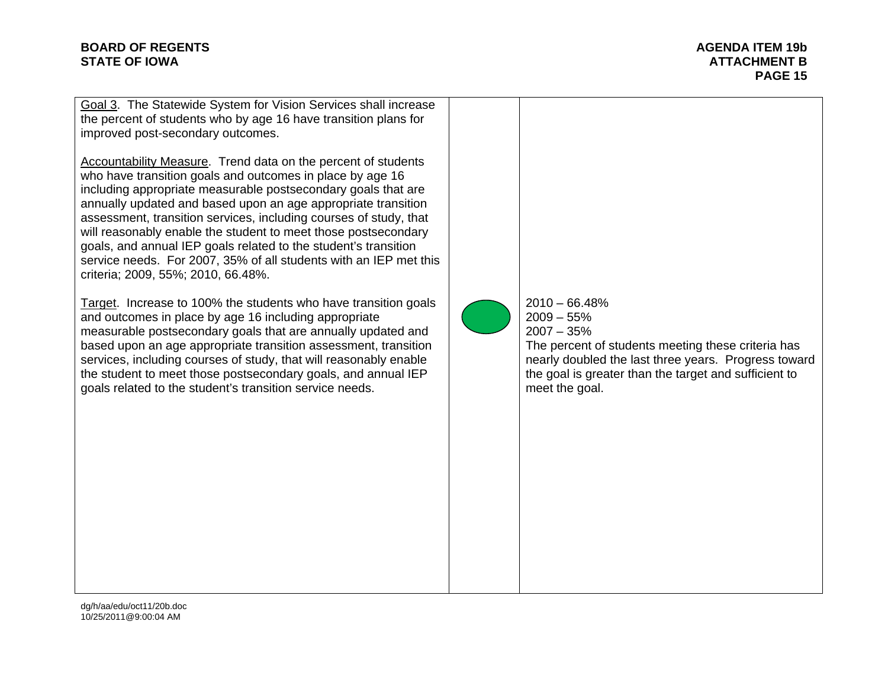#### **BOARD OF REGENTS** AGENERATION AGENERATION OF REGENTS AGENERATION OF REGENTS AGENERATION OF REGENTS AGENERATION OF REGENTS **STATE OF IOWA** AND **ATTACHMENT B**

**PAGE 15** 

Goal 3. The Statewide System for Vision Services shall increase the percent of students who by age 16 have transition plans for improved post-secondary outcomes.

Accountability Measure. Trend data on the percent of students who have transition goals and outcomes in place by age 16 including appropriate measurable postsecondary goals that are annually updated and based upon an age appropriate transition assessment, transition services, including courses of study, that will reasonably enable the student to meet those postsecondary goals, and annual IEP goals related to the student's transition service needs. For 2007, 35% of all students with an IEP met this criteria; 2009, 55%; 2010, 66.48%.

Target. Increase to 100% the students who have transition goals and outcomes in place by age 16 including appropriate measurable postsecondary goals that are annually updated and based upon an age appropriate transition assessment, transition services, including courses of study, that will reasonably enable the student to meet those postsecondary goals, and annual IEP goals related to the student's transition service needs.



2010 – 66.48%  $2009 - 55\%$ 2007 – 35%

The percent of students meeting these criteria has nearly doubled the last three years. Progress toward the goal is greater than the target and sufficient to meet the goal.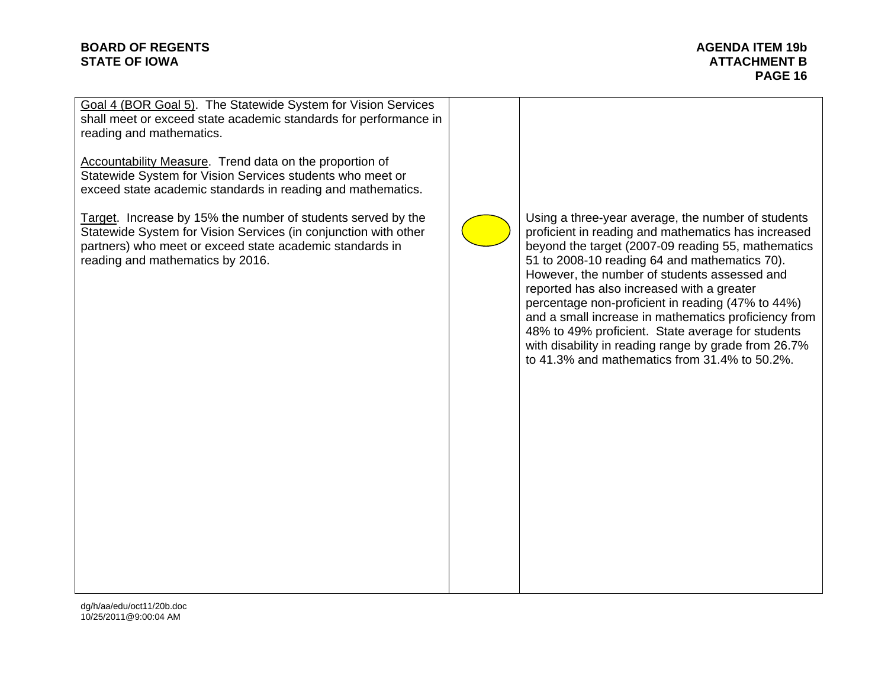#### **BOARD OF REGENTS** AGENUS AGENDA ITEM 19b **AGENDA ITEM 19b STATE OF IOWA** ATTACHMENT B AND A STATE OF IOWA

**PAGE 16** 

Goal 4 (BOR Goal 5). The Statewide System for Vision Services shall meet or exceed state academic standards for performance in reading and mathematics.

Accountability Measure. Trend data on the proportion of Statewide System for Vision Services students who meet or exceed state academic standards in reading and mathematics.

Target. Increase by 15% the number of students served by the Statewide System for Vision Services (in conjunction with other partners) who meet or exceed state academic standards in reading and mathematics by 2016.



Using a three-year average, the number of students proficient in reading and mathematics has increased beyond the target (2007-09 reading 55, mathematics 51 to 2008-10 reading 64 and mathematics 70). However, the number of students assessed and reported has also increased with a greater percentage non-proficient in reading (47% to 44%) and a small increase in mathematics proficiency from 48% to 49% proficient. State average for students with disability in reading range by grade from 26.7% to 41.3% and mathematics from 31.4% to 50.2%.